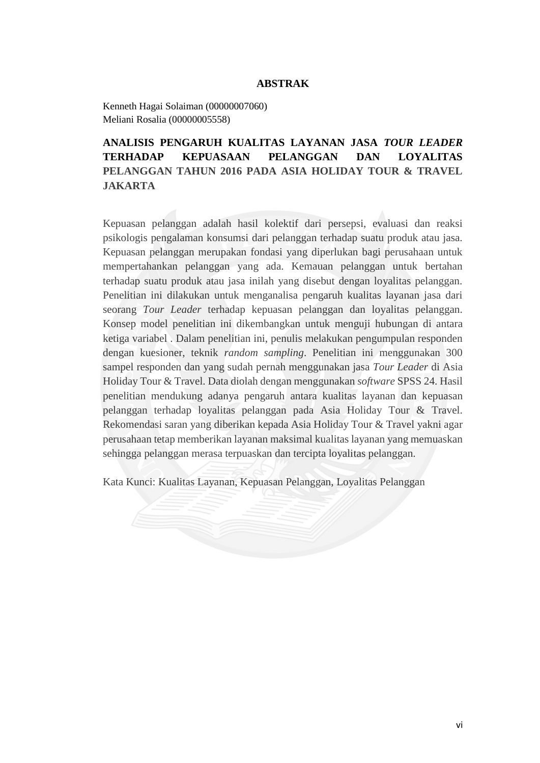## **ABSTRAK**

Kenneth Hagai Solaiman (00000007060) Meliani Rosalia (00000005558)

## **ANALISIS PENGARUH KUALITAS LAYANAN JASA** *TOUR LEADER*  **TERHADAP KEPUASAAN PELANGGAN DAN LOYALITAS PELANGGAN TAHUN 2016 PADA ASIA HOLIDAY TOUR & TRAVEL JAKARTA**

Kepuasan pelanggan adalah hasil kolektif dari persepsi, evaluasi dan reaksi psikologis pengalaman konsumsi dari pelanggan terhadap suatu produk atau jasa. Kepuasan pelanggan merupakan fondasi yang diperlukan bagi perusahaan untuk mempertahankan pelanggan yang ada. Kemauan pelanggan untuk bertahan terhadap suatu produk atau jasa inilah yang disebut dengan loyalitas pelanggan. Penelitian ini dilakukan untuk menganalisa pengaruh kualitas layanan jasa dari seorang *Tour Leader* terhadap kepuasan pelanggan dan loyalitas pelanggan. Konsep model penelitian ini dikembangkan untuk menguji hubungan di antara ketiga variabel . Dalam penelitian ini, penulis melakukan pengumpulan responden dengan kuesioner, teknik *random sampling*. Penelitian ini menggunakan 300 sampel responden dan yang sudah pernah menggunakan jasa *Tour Leader* di Asia Holiday Tour & Travel. Data diolah dengan menggunakan *software* SPSS 24. Hasil penelitian mendukung adanya pengaruh antara kualitas layanan dan kepuasan pelanggan terhadap loyalitas pelanggan pada Asia Holiday Tour & Travel. Rekomendasi saran yang diberikan kepada Asia Holiday Tour & Travel yakni agar perusahaan tetap memberikan layanan maksimal kualitas layanan yang memuaskan sehingga pelanggan merasa terpuaskan dan tercipta loyalitas pelanggan.

Kata Kunci: Kualitas Layanan, Kepuasan Pelanggan, Loyalitas Pelanggan